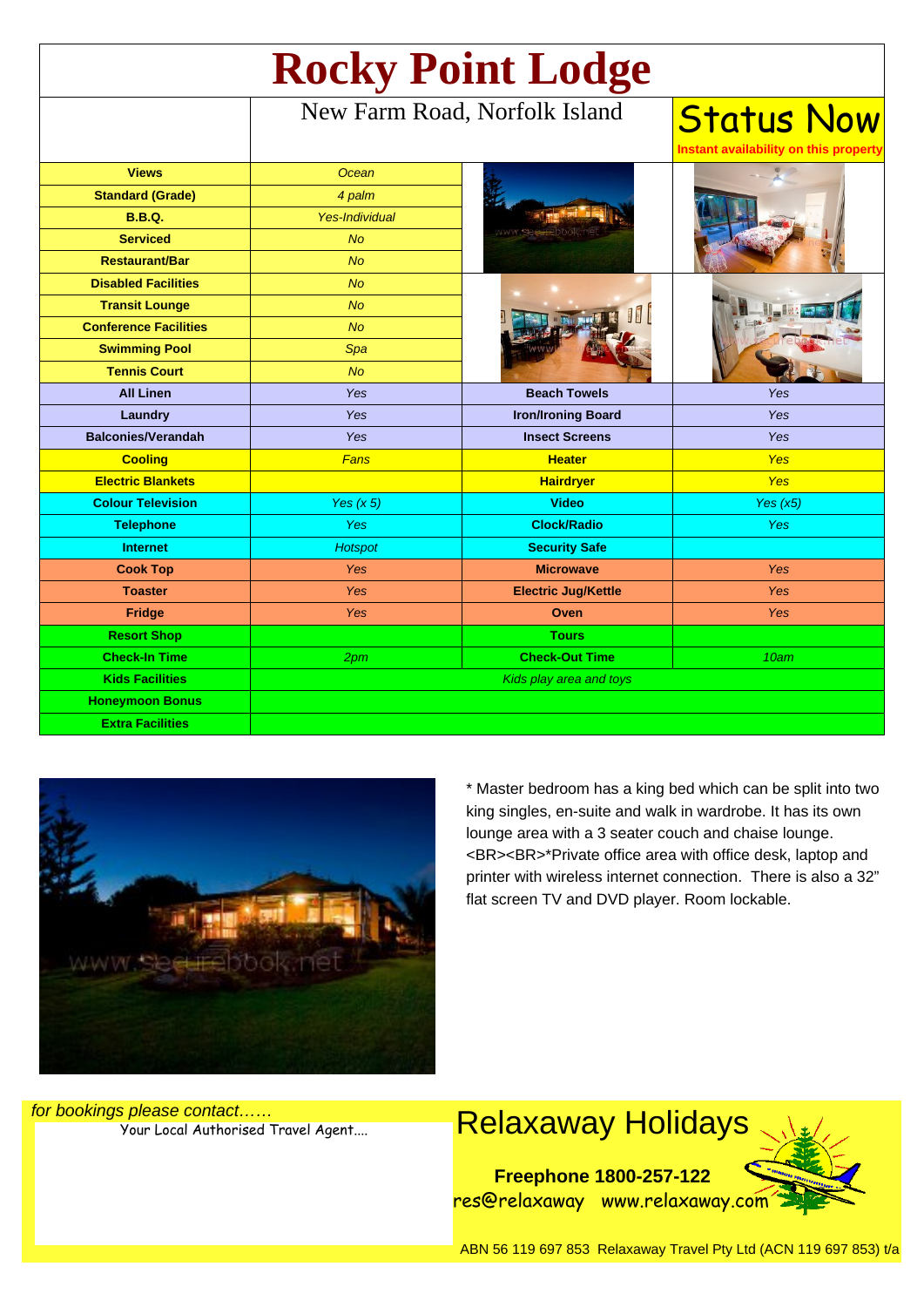| <b>Rocky Point Lodge</b>     |                               |                            |                                                          |
|------------------------------|-------------------------------|----------------------------|----------------------------------------------------------|
|                              | New Farm Road, Norfolk Island |                            | <b>Status Now</b><br>Instant availability on this proper |
| <b>Views</b>                 | Ocean                         |                            |                                                          |
| <b>Standard (Grade)</b>      | 4 palm                        |                            |                                                          |
| <b>B.B.Q.</b>                | <b>Yes-Individual</b>         |                            |                                                          |
| <b>Serviced</b>              | <b>No</b>                     |                            |                                                          |
| <b>Restaurant/Bar</b>        | <b>No</b>                     |                            |                                                          |
| <b>Disabled Facilities</b>   | <b>No</b>                     |                            |                                                          |
| <b>Transit Lounge</b>        | <b>No</b>                     |                            |                                                          |
| <b>Conference Facilities</b> | <b>No</b>                     |                            |                                                          |
| <b>Swimming Pool</b>         | Spa                           |                            |                                                          |
| <b>Tennis Court</b>          | <b>No</b>                     |                            |                                                          |
| <b>All Linen</b>             | Yes                           | <b>Beach Towels</b>        | Yes                                                      |
| Laundry                      | Yes                           | <b>Iron/Ironing Board</b>  | Yes                                                      |
| <b>Balconies/Verandah</b>    | Yes                           | <b>Insect Screens</b>      | Yes                                                      |
| <b>Cooling</b>               | Fans                          | <b>Heater</b>              | <b>Yes</b>                                               |
| <b>Electric Blankets</b>     |                               | <b>Hairdryer</b>           | <b>Yes</b>                                               |
| <b>Colour Television</b>     | Yes $(x 5)$                   | <b>Video</b>               | Yes $(x5)$                                               |
| <b>Telephone</b>             | <b>Yes</b>                    | <b>Clock/Radio</b>         | <b>Yes</b>                                               |
| <b>Internet</b>              | <b>Hotspot</b>                | <b>Security Safe</b>       |                                                          |
| <b>Cook Top</b>              | Yes                           | <b>Microwave</b>           | <b>Yes</b>                                               |
| <b>Toaster</b>               | Yes                           | <b>Electric Jug/Kettle</b> | Yes                                                      |
| Fridge                       | Yes                           | Oven                       | <b>Yes</b>                                               |
| <b>Resort Shop</b>           |                               | <b>Tours</b>               |                                                          |
| <b>Check-In Time</b>         | 2pm                           | <b>Check-Out Time</b>      | 10am                                                     |
| <b>Kids Facilities</b>       | Kids play area and toys       |                            |                                                          |
| <b>Honeymoon Bonus</b>       |                               |                            |                                                          |
| <b>Extra Facilities</b>      |                               |                            |                                                          |



\* Master bedroom has a king bed which can be split into two king singles, en-suite and walk in wardrobe. It has its own lounge area with a 3 seater couch and chaise lounge. <BR><BR>\*Private office area with office desk, laptop and printer with wireless internet connection. There is also a 32" flat screen TV and DVD player. Room lockable.

for bookings please contact……